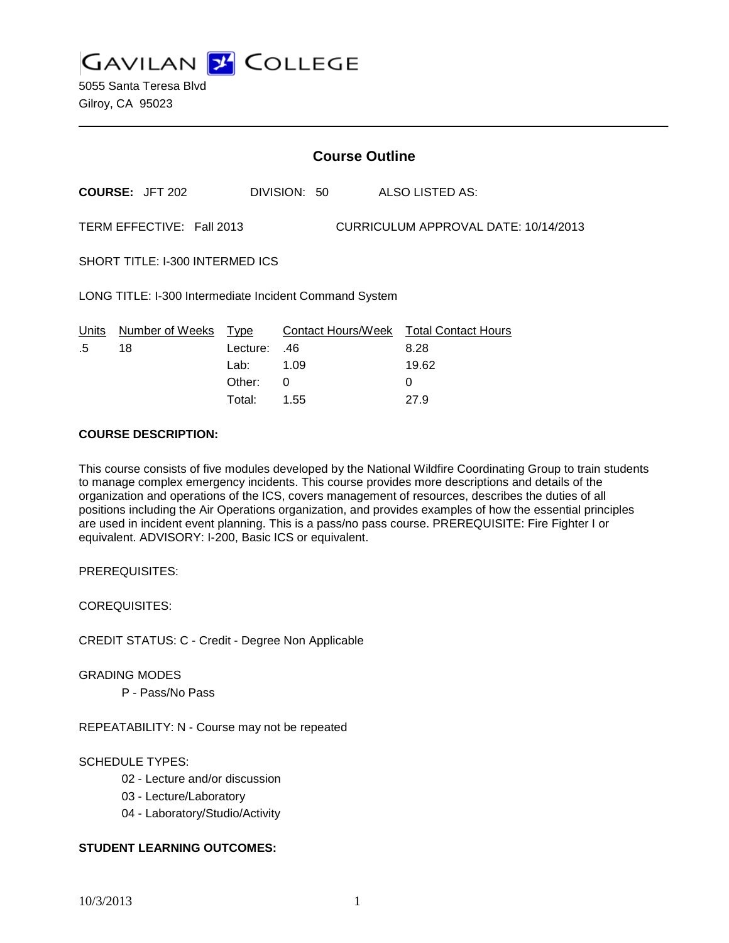**GAVILAN Z COLLEGE** 

|                                                                   | <b>Course Outline</b>  |          |              |                                        |
|-------------------------------------------------------------------|------------------------|----------|--------------|----------------------------------------|
|                                                                   | <b>COURSE: JFT 202</b> |          | DIVISION: 50 | ALSO LISTED AS:                        |
| CURRICULUM APPROVAL DATE: 10/14/2013<br>TERM EFFECTIVE: Fall 2013 |                        |          |              |                                        |
| SHORT TITLE: I-300 INTERMED ICS                                   |                        |          |              |                                        |
| LONG TITLE: I-300 Intermediate Incident Command System            |                        |          |              |                                        |
| Units                                                             | Number of Weeks Type   |          |              | Contact Hours/Week Total Contact Hours |
| $.5\,$                                                            | 18                     | Lecture: | .46          | 8.28                                   |
|                                                                   |                        | Lab:     | 1.09         | 19.62                                  |
|                                                                   |                        | Other:   | 0            | 0                                      |
|                                                                   |                        | Total:   | 1.55         | 27.9                                   |

#### **COURSE DESCRIPTION:**

This course consists of five modules developed by the National Wildfire Coordinating Group to train students to manage complex emergency incidents. This course provides more descriptions and details of the organization and operations of the ICS, covers management of resources, describes the duties of all positions including the Air Operations organization, and provides examples of how the essential principles are used in incident event planning. This is a pass/no pass course. PREREQUISITE: Fire Fighter I or equivalent. ADVISORY: I-200, Basic ICS or equivalent.

PREREQUISITES:

COREQUISITES:

CREDIT STATUS: C - Credit - Degree Non Applicable

GRADING MODES

P - Pass/No Pass

REPEATABILITY: N - Course may not be repeated

### SCHEDULE TYPES:

- 02 Lecture and/or discussion
- 03 Lecture/Laboratory
- 04 Laboratory/Studio/Activity

## **STUDENT LEARNING OUTCOMES:**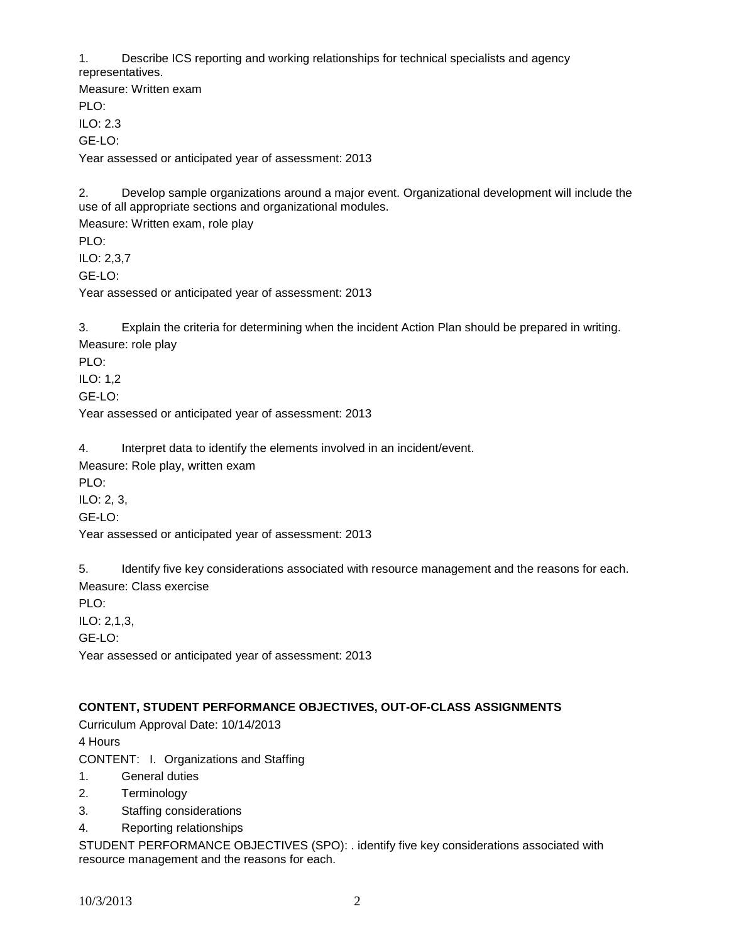1. Describe ICS reporting and working relationships for technical specialists and agency representatives.

Measure: Written exam PLO: ILO: 2.3 GE-LO: Year assessed or anticipated year of assessment: 2013

2. Develop sample organizations around a major event. Organizational development will include the use of all appropriate sections and organizational modules.

Measure: Written exam, role play PLO: ILO: 2,3,7 GE-LO: Year assessed or anticipated year of assessment: 2013

3. Explain the criteria for determining when the incident Action Plan should be prepared in writing. Measure: role play

PLO:

ILO: 1,2 GE-LO:

Year assessed or anticipated year of assessment: 2013

4. Interpret data to identify the elements involved in an incident/event.

Measure: Role play, written exam

PLO:

ILO: 2, 3,

GE-LO:

Year assessed or anticipated year of assessment: 2013

5. Identify five key considerations associated with resource management and the reasons for each. Measure: Class exercise

PLO:

ILO: 2,1,3,  $GF-I O<sup>2</sup>$ 

Year assessed or anticipated year of assessment: 2013

# **CONTENT, STUDENT PERFORMANCE OBJECTIVES, OUT-OF-CLASS ASSIGNMENTS**

Curriculum Approval Date: 10/14/2013 4 Hours

CONTENT: I. Organizations and Staffing

- 1. General duties
- 2. Terminology
- 3. Staffing considerations
- 4. Reporting relationships

STUDENT PERFORMANCE OBJECTIVES (SPO): . identify five key considerations associated with resource management and the reasons for each.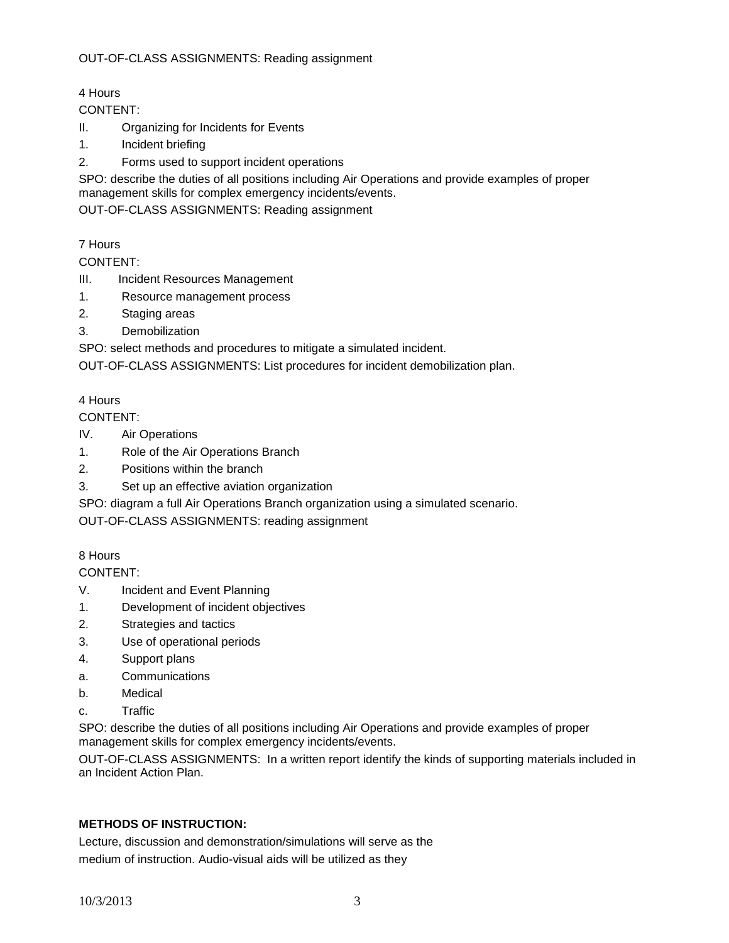4 Hours

CONTENT:

- II. Organizing for Incidents for Events
- 1. Incident briefing
- 2. Forms used to support incident operations

SPO: describe the duties of all positions including Air Operations and provide examples of proper management skills for complex emergency incidents/events.

OUT-OF-CLASS ASSIGNMENTS: Reading assignment

7 Hours

CONTENT:

- III. Incident Resources Management
- 1. Resource management process
- 2. Staging areas
- 3. Demobilization

SPO: select methods and procedures to mitigate a simulated incident.

OUT-OF-CLASS ASSIGNMENTS: List procedures for incident demobilization plan.

# 4 Hours

CONTENT:

- IV. Air Operations
- 1. Role of the Air Operations Branch
- 2. Positions within the branch
- 3. Set up an effective aviation organization

SPO: diagram a full Air Operations Branch organization using a simulated scenario.

OUT-OF-CLASS ASSIGNMENTS: reading assignment

# 8 Hours

CONTENT:

- V. Incident and Event Planning
- 1. Development of incident objectives
- 2. Strategies and tactics
- 3. Use of operational periods
- 4. Support plans
- a. Communications
- b. Medical
- c. Traffic

SPO: describe the duties of all positions including Air Operations and provide examples of proper management skills for complex emergency incidents/events.

OUT-OF-CLASS ASSIGNMENTS: In a written report identify the kinds of supporting materials included in an Incident Action Plan.

# **METHODS OF INSTRUCTION:**

Lecture, discussion and demonstration/simulations will serve as the medium of instruction. Audio-visual aids will be utilized as they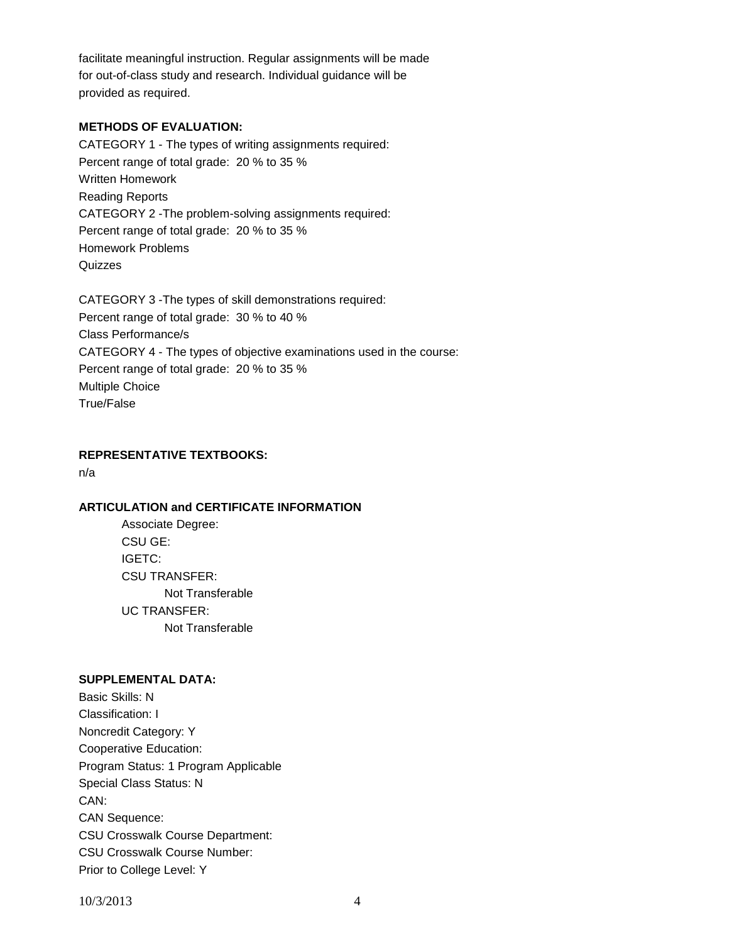facilitate meaningful instruction. Regular assignments will be made for out-of-class study and research. Individual guidance will be provided as required.

### **METHODS OF EVALUATION:**

CATEGORY 1 - The types of writing assignments required: Percent range of total grade: 20 % to 35 % Written Homework Reading Reports CATEGORY 2 -The problem-solving assignments required: Percent range of total grade: 20 % to 35 % Homework Problems Quizzes

CATEGORY 3 -The types of skill demonstrations required: Percent range of total grade: 30 % to 40 % Class Performance/s CATEGORY 4 - The types of objective examinations used in the course: Percent range of total grade: 20 % to 35 % Multiple Choice True/False

#### **REPRESENTATIVE TEXTBOOKS:**

n/a

#### **ARTICULATION and CERTIFICATE INFORMATION**

Associate Degree: CSU GE: IGETC: CSU TRANSFER: Not Transferable UC TRANSFER: Not Transferable

#### **SUPPLEMENTAL DATA:**

Basic Skills: N Classification: I Noncredit Category: Y Cooperative Education: Program Status: 1 Program Applicable Special Class Status: N CAN: CAN Sequence: CSU Crosswalk Course Department: CSU Crosswalk Course Number: Prior to College Level: Y

10/3/2013 4